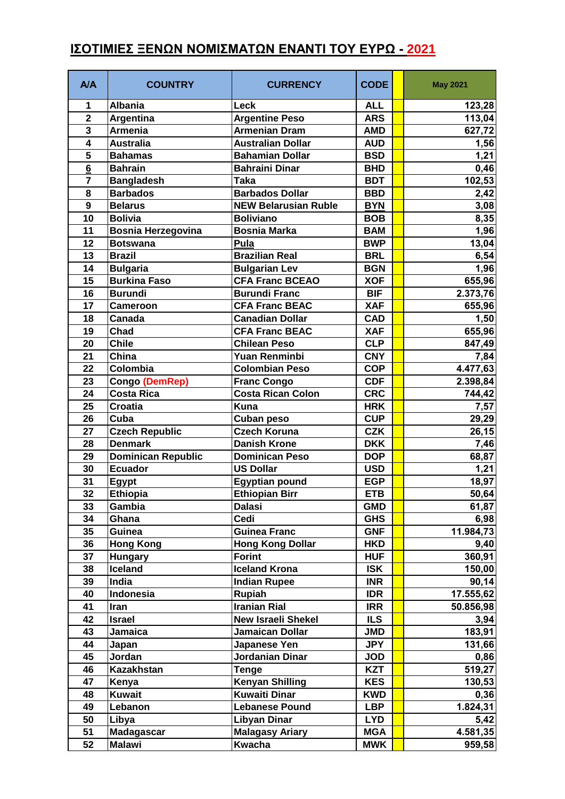## **Α/Α COUNTRY CURRENCY CODE May 2021 Albania Leck ALL 123,28 Argentina Argentine Peso ARS 113,04 Armenia Armenian Dram AMD 627,72 Australia Australian Dollar AUD 1,56 Bahamas Bahamian Dollar BSD 1,21 Bahrain Bahraini Dinar BHD 0,46 Bangladesh Taka BDT 102,53 Barbados Barbados Dollar BBD 2,42 Belarus NEW Belarusian Ruble BYN 3,08 Bolivia Boliviano BOB 8,35 Bosnia Herzegovina Bosnia Marka BAM BAM 1,96 Botswana Pula BWP 13,04 Brazil Brazilian Real BRL 6,54 Bulgaria Bulgarian Lev BGN 1,96 Burkina Faso CFA Franc BCEAO XOF 655,96 Burundi Burundi Franc BIF 2.373,76 Cameroon CFA Franc BEAC XAF 655,96 Canada Canadian Dollar CAD 1,50 Chad CFA Franc BEAC XAF 655,96 Chile Chilean Peso CLP 847,49 China Yuan Renminbi CNY 7,84 Colombia Colombian Peso COP 4.477,63 Congo (DemRep) Franc Congo CDF 2.398,84 Costa Rica Costa Rican Colon CRC 744,42 Croatia Kuna HRK 7,57 Cuba Cuban peso CUP 29,29 Czech Republic Czech Koruna CZK 26,15 Denmark Danish Krone DKK 7,46 Dominican Republic Dominican Peso DOP 68,87 Ecuador US Dollar USD 1,21 Egypt Egyptian pound EGP 18,97 Ethiopia Ethiopian Birr ETB 50,64 Gambia Dalasi GMD 61,87 Ghana Cedi GHS 6,98 Guinea Guinea Franc GNF 11.984,73 Hong Kong Hong Kong Dollar HKD 9,40 Hungary Forint HUF 360,91 Iceland Iceland Krona ISK 150,00 India Indian Rupee INR 90,14 Indonesia Rupiah IDR 17.555,62 Iran Iranian Rial IRR 50.856,98 Israel New Israeli Shekel ILS 3,94 Jamaica Jamaican Dollar JMD 183,91 Japan Japanese Yen JPY 131,66 Jordan Jordanian Dinar JOD 0,86 Kazakhstan Tenge KZT 519,27 Kenya Kenyan Shilling KES 130,53 Kuwait Kuwaiti Dinar KWD 0,36 Lebanon Lebanese Pound LBP 1.824,31 Libya Libyan Dinar LYD 5,42 Madagascar Malagasy Ariary MGA 4.581,35 Malawi Kwacha MWK 959,58**

## **ΙΣΟΤΙΜΙΕΣ ΞΕΝΩΝ ΝΟΜΙΣΜΑΤΩΝ ΕΝΑΝΤΙ ΤΟΥ ΕΥΡΩ - 2021**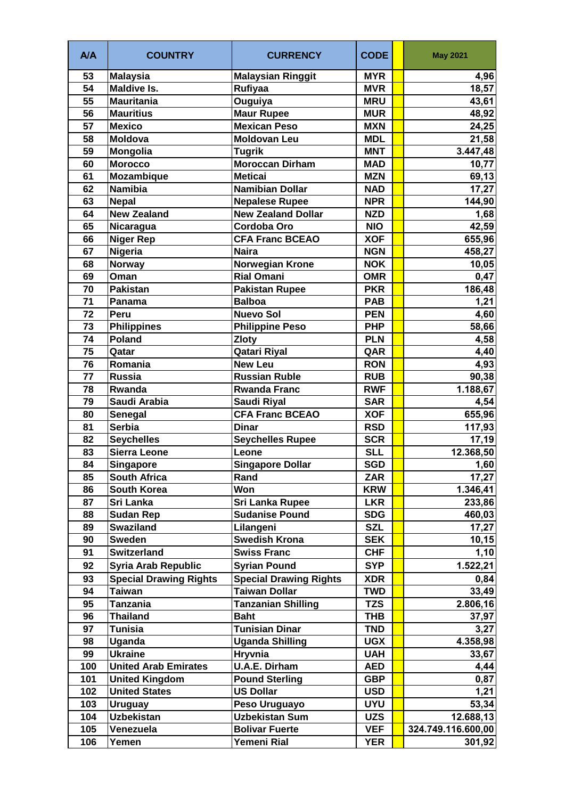| 53<br><b>Malaysian Ringgit</b><br><b>Malaysia</b><br><b>MYR</b><br>4,96<br>54<br><b>Maldive Is.</b><br>Rufiyaa<br><b>MVR</b><br>18,57<br>55<br><b>Mauritania</b><br><b>MRU</b><br>Ouguiya<br>43,61<br>56<br><b>Mauritius</b><br><b>Maur Rupee</b><br>48,92<br><b>MUR</b><br>57<br><b>Mexico</b><br><b>Mexican Peso</b><br><b>MXN</b><br>24,25<br>58<br><b>Moldovan Leu</b><br><b>Moldova</b><br><b>MDL</b><br>21,58<br>59<br><b>MNT</b><br>Mongolia<br><b>Tugrik</b><br>3.447,48<br><b>Moroccan Dirham</b><br>60<br><b>Morocco</b><br><b>MAD</b><br>10,77<br><b>Mozambique</b><br>61<br><b>Meticai</b><br><b>MZN</b><br>69,13<br><b>Namibia</b><br><b>Namibian Dollar</b><br>62<br><b>NAD</b><br>17,27<br>63<br><b>Nepal</b><br><b>Nepalese Rupee</b><br><b>NPR</b><br>144,90<br><b>New Zealand</b><br><b>New Zealand Dollar</b><br><b>NZD</b><br>64<br>1,68<br>65<br>Cordoba Oro<br><b>NIO</b><br>42,59<br>Nicaragua<br><b>Niger Rep</b><br>655,96<br>66<br><b>CFA Franc BCEAO</b><br><b>XOF</b><br>Nigeria<br><b>Naira</b><br>67<br><b>NGN</b><br>458,27<br><b>Norwegian Krone</b><br><b>Norway</b><br><b>NOK</b><br>68<br><b>Rial Omani</b><br><b>OMR</b><br>69<br>0,47<br>Oman<br>186,48<br>70<br>Pakistan<br><b>PKR</b><br><b>Pakistan Rupee</b><br>1,21<br>71<br><b>Balboa</b><br><b>PAB</b><br>Panama<br><b>Nuevo Sol</b><br>72<br><b>Peru</b><br><b>PEN</b><br>4,60<br>73<br><b>Philippine Peso</b><br><b>Philippines</b><br><b>PHP</b><br>58,66<br>$\overline{74}$<br><b>Poland</b><br><b>Zloty</b><br><b>PLN</b><br>4,58<br>75<br><b>Qatari Riyal</b><br>QAR<br>4,40<br>Qatar<br>Romania<br>76<br><b>New Leu</b><br><b>RON</b><br>4,93<br><b>Russia</b><br>77<br><b>Russian Ruble</b><br>90,38<br><b>RUB</b><br>78<br>Rwanda<br><b>RWF</b><br><b>Rwanda Franc</b><br>1.188,67<br>79<br>Saudi Arabia<br><b>Saudi Riyal</b><br>4,54<br><b>SAR</b><br><b>CFA Franc BCEAO</b><br><b>XOF</b><br>655,96<br>80<br><b>Senegal</b><br><b>Serbia</b><br>81<br><b>Dinar</b><br><b>RSD</b><br>117,93<br>82<br><b>Seychelles</b><br><b>SCR</b><br>17,19<br><b>Seychelles Rupee</b><br>83<br><b>Sierra Leone</b><br><b>SLL</b><br>Leone<br>12.368,50<br><b>SGD</b><br>84<br>Singapore<br><b>Singapore Dollar</b><br>1,60<br><b>ZAR</b><br>17,27<br>85<br><b>South Africa</b><br>Rand<br>Won<br>South Korea<br><b>KRW</b><br>1.346,41<br>86<br>Sri Lanka<br>87<br><b>Sri Lanka Rupee</b><br>233,86<br><b>LKR</b><br>88<br><b>Sudan Rep</b><br><b>Sudanise Pound</b><br>460,03<br><b>SDG</b><br><b>SZL</b><br>17,27<br><b>Swaziland</b><br>Lilangeni<br>89<br><b>Swedish Krona</b><br>90<br><b>Sweden</b><br><b>SEK</b><br>10, 15<br><b>Switzerland</b><br>91<br><b>Swiss Franc</b><br><b>CHF</b><br>1,10<br><b>Syria Arab Republic</b><br><b>SYP</b><br>92<br><b>Syrian Pound</b><br>1.522,21<br><b>Special Drawing Rights</b><br><b>Special Drawing Rights</b><br>93<br><b>XDR</b><br>0,84<br><b>Taiwan Dollar</b><br>94<br><b>Taiwan</b><br><b>TWD</b><br>33,49<br><b>Tanzanian Shilling</b><br>95<br><b>Tanzania</b><br>2.806,16<br><b>TZS</b><br>96<br><b>Thailand</b><br><b>Baht</b><br><b>THB</b><br>37,97<br>Tunisian Dinar<br>97<br><b>Tunisia</b><br><b>TND</b><br>3,27<br>Uganda<br><b>Uganda Shilling</b><br><b>UGX</b><br>4.358,98<br>98<br><b>Ukraine</b><br>Hryvnia<br>99<br><b>UAH</b><br>33,67<br><b>U.A.E. Dirham</b><br>100<br><b>United Arab Emirates</b><br><b>AED</b><br>4,44<br><b>GBP</b><br>101<br><b>United Kingdom</b><br><b>Pound Sterling</b><br>0,87<br><b>US Dollar</b><br>102<br><b>United States</b><br><b>USD</b><br>1,21<br>103<br>Peso Uruguayo<br><b>UYU</b><br><b>Uruguay</b><br>53,34<br><b>Uzbekistan</b><br>Uzbekistan Sum<br>104<br><b>UZS</b><br>12.688,13<br><b>Bolivar Fuerte</b><br><b>VEF</b><br>105<br>Venezuela<br>324.749.116.600,00 | <b>A/A</b> | <b>COUNTRY</b> | <b>CURRENCY</b> | <b>CODE</b> | <b>May 2021</b> |
|----------------------------------------------------------------------------------------------------------------------------------------------------------------------------------------------------------------------------------------------------------------------------------------------------------------------------------------------------------------------------------------------------------------------------------------------------------------------------------------------------------------------------------------------------------------------------------------------------------------------------------------------------------------------------------------------------------------------------------------------------------------------------------------------------------------------------------------------------------------------------------------------------------------------------------------------------------------------------------------------------------------------------------------------------------------------------------------------------------------------------------------------------------------------------------------------------------------------------------------------------------------------------------------------------------------------------------------------------------------------------------------------------------------------------------------------------------------------------------------------------------------------------------------------------------------------------------------------------------------------------------------------------------------------------------------------------------------------------------------------------------------------------------------------------------------------------------------------------------------------------------------------------------------------------------------------------------------------------------------------------------------------------------------------------------------------------------------------------------------------------------------------------------------------------------------------------------------------------------------------------------------------------------------------------------------------------------------------------------------------------------------------------------------------------------------------------------------------------------------------------------------------------------------------------------------------------------------------------------------------------------------------------------------------------------------------------------------------------------------------------------------------------------------------------------------------------------------------------------------------------------------------------------------------------------------------------------------------------------------------------------------------------------------------------------------------------------------------------------------------------------------------------------------------------------------------------------------------------------------------------------------------------------------------------------------------------------------------------------------------------------------------------------------------------------------------------------------------------------------------------------------------------------------------------------------------------------------------------------------------------------------------------------------------------------------------------------------------------------------------------------------------------------|------------|----------------|-----------------|-------------|-----------------|
|                                                                                                                                                                                                                                                                                                                                                                                                                                                                                                                                                                                                                                                                                                                                                                                                                                                                                                                                                                                                                                                                                                                                                                                                                                                                                                                                                                                                                                                                                                                                                                                                                                                                                                                                                                                                                                                                                                                                                                                                                                                                                                                                                                                                                                                                                                                                                                                                                                                                                                                                                                                                                                                                                                                                                                                                                                                                                                                                                                                                                                                                                                                                                                                                                                                                                                                                                                                                                                                                                                                                                                                                                                                                                                                                                                                  |            |                |                 |             |                 |
| 10,05                                                                                                                                                                                                                                                                                                                                                                                                                                                                                                                                                                                                                                                                                                                                                                                                                                                                                                                                                                                                                                                                                                                                                                                                                                                                                                                                                                                                                                                                                                                                                                                                                                                                                                                                                                                                                                                                                                                                                                                                                                                                                                                                                                                                                                                                                                                                                                                                                                                                                                                                                                                                                                                                                                                                                                                                                                                                                                                                                                                                                                                                                                                                                                                                                                                                                                                                                                                                                                                                                                                                                                                                                                                                                                                                                                            |            |                |                 |             |                 |
|                                                                                                                                                                                                                                                                                                                                                                                                                                                                                                                                                                                                                                                                                                                                                                                                                                                                                                                                                                                                                                                                                                                                                                                                                                                                                                                                                                                                                                                                                                                                                                                                                                                                                                                                                                                                                                                                                                                                                                                                                                                                                                                                                                                                                                                                                                                                                                                                                                                                                                                                                                                                                                                                                                                                                                                                                                                                                                                                                                                                                                                                                                                                                                                                                                                                                                                                                                                                                                                                                                                                                                                                                                                                                                                                                                                  |            |                |                 |             |                 |
|                                                                                                                                                                                                                                                                                                                                                                                                                                                                                                                                                                                                                                                                                                                                                                                                                                                                                                                                                                                                                                                                                                                                                                                                                                                                                                                                                                                                                                                                                                                                                                                                                                                                                                                                                                                                                                                                                                                                                                                                                                                                                                                                                                                                                                                                                                                                                                                                                                                                                                                                                                                                                                                                                                                                                                                                                                                                                                                                                                                                                                                                                                                                                                                                                                                                                                                                                                                                                                                                                                                                                                                                                                                                                                                                                                                  |            |                |                 |             |                 |
|                                                                                                                                                                                                                                                                                                                                                                                                                                                                                                                                                                                                                                                                                                                                                                                                                                                                                                                                                                                                                                                                                                                                                                                                                                                                                                                                                                                                                                                                                                                                                                                                                                                                                                                                                                                                                                                                                                                                                                                                                                                                                                                                                                                                                                                                                                                                                                                                                                                                                                                                                                                                                                                                                                                                                                                                                                                                                                                                                                                                                                                                                                                                                                                                                                                                                                                                                                                                                                                                                                                                                                                                                                                                                                                                                                                  |            |                |                 |             |                 |
|                                                                                                                                                                                                                                                                                                                                                                                                                                                                                                                                                                                                                                                                                                                                                                                                                                                                                                                                                                                                                                                                                                                                                                                                                                                                                                                                                                                                                                                                                                                                                                                                                                                                                                                                                                                                                                                                                                                                                                                                                                                                                                                                                                                                                                                                                                                                                                                                                                                                                                                                                                                                                                                                                                                                                                                                                                                                                                                                                                                                                                                                                                                                                                                                                                                                                                                                                                                                                                                                                                                                                                                                                                                                                                                                                                                  |            |                |                 |             |                 |
|                                                                                                                                                                                                                                                                                                                                                                                                                                                                                                                                                                                                                                                                                                                                                                                                                                                                                                                                                                                                                                                                                                                                                                                                                                                                                                                                                                                                                                                                                                                                                                                                                                                                                                                                                                                                                                                                                                                                                                                                                                                                                                                                                                                                                                                                                                                                                                                                                                                                                                                                                                                                                                                                                                                                                                                                                                                                                                                                                                                                                                                                                                                                                                                                                                                                                                                                                                                                                                                                                                                                                                                                                                                                                                                                                                                  |            |                |                 |             |                 |
|                                                                                                                                                                                                                                                                                                                                                                                                                                                                                                                                                                                                                                                                                                                                                                                                                                                                                                                                                                                                                                                                                                                                                                                                                                                                                                                                                                                                                                                                                                                                                                                                                                                                                                                                                                                                                                                                                                                                                                                                                                                                                                                                                                                                                                                                                                                                                                                                                                                                                                                                                                                                                                                                                                                                                                                                                                                                                                                                                                                                                                                                                                                                                                                                                                                                                                                                                                                                                                                                                                                                                                                                                                                                                                                                                                                  |            |                |                 |             |                 |
|                                                                                                                                                                                                                                                                                                                                                                                                                                                                                                                                                                                                                                                                                                                                                                                                                                                                                                                                                                                                                                                                                                                                                                                                                                                                                                                                                                                                                                                                                                                                                                                                                                                                                                                                                                                                                                                                                                                                                                                                                                                                                                                                                                                                                                                                                                                                                                                                                                                                                                                                                                                                                                                                                                                                                                                                                                                                                                                                                                                                                                                                                                                                                                                                                                                                                                                                                                                                                                                                                                                                                                                                                                                                                                                                                                                  |            |                |                 |             |                 |
|                                                                                                                                                                                                                                                                                                                                                                                                                                                                                                                                                                                                                                                                                                                                                                                                                                                                                                                                                                                                                                                                                                                                                                                                                                                                                                                                                                                                                                                                                                                                                                                                                                                                                                                                                                                                                                                                                                                                                                                                                                                                                                                                                                                                                                                                                                                                                                                                                                                                                                                                                                                                                                                                                                                                                                                                                                                                                                                                                                                                                                                                                                                                                                                                                                                                                                                                                                                                                                                                                                                                                                                                                                                                                                                                                                                  |            |                |                 |             |                 |
|                                                                                                                                                                                                                                                                                                                                                                                                                                                                                                                                                                                                                                                                                                                                                                                                                                                                                                                                                                                                                                                                                                                                                                                                                                                                                                                                                                                                                                                                                                                                                                                                                                                                                                                                                                                                                                                                                                                                                                                                                                                                                                                                                                                                                                                                                                                                                                                                                                                                                                                                                                                                                                                                                                                                                                                                                                                                                                                                                                                                                                                                                                                                                                                                                                                                                                                                                                                                                                                                                                                                                                                                                                                                                                                                                                                  |            |                |                 |             |                 |
|                                                                                                                                                                                                                                                                                                                                                                                                                                                                                                                                                                                                                                                                                                                                                                                                                                                                                                                                                                                                                                                                                                                                                                                                                                                                                                                                                                                                                                                                                                                                                                                                                                                                                                                                                                                                                                                                                                                                                                                                                                                                                                                                                                                                                                                                                                                                                                                                                                                                                                                                                                                                                                                                                                                                                                                                                                                                                                                                                                                                                                                                                                                                                                                                                                                                                                                                                                                                                                                                                                                                                                                                                                                                                                                                                                                  |            |                |                 |             |                 |
|                                                                                                                                                                                                                                                                                                                                                                                                                                                                                                                                                                                                                                                                                                                                                                                                                                                                                                                                                                                                                                                                                                                                                                                                                                                                                                                                                                                                                                                                                                                                                                                                                                                                                                                                                                                                                                                                                                                                                                                                                                                                                                                                                                                                                                                                                                                                                                                                                                                                                                                                                                                                                                                                                                                                                                                                                                                                                                                                                                                                                                                                                                                                                                                                                                                                                                                                                                                                                                                                                                                                                                                                                                                                                                                                                                                  |            |                |                 |             |                 |
|                                                                                                                                                                                                                                                                                                                                                                                                                                                                                                                                                                                                                                                                                                                                                                                                                                                                                                                                                                                                                                                                                                                                                                                                                                                                                                                                                                                                                                                                                                                                                                                                                                                                                                                                                                                                                                                                                                                                                                                                                                                                                                                                                                                                                                                                                                                                                                                                                                                                                                                                                                                                                                                                                                                                                                                                                                                                                                                                                                                                                                                                                                                                                                                                                                                                                                                                                                                                                                                                                                                                                                                                                                                                                                                                                                                  |            |                |                 |             |                 |
|                                                                                                                                                                                                                                                                                                                                                                                                                                                                                                                                                                                                                                                                                                                                                                                                                                                                                                                                                                                                                                                                                                                                                                                                                                                                                                                                                                                                                                                                                                                                                                                                                                                                                                                                                                                                                                                                                                                                                                                                                                                                                                                                                                                                                                                                                                                                                                                                                                                                                                                                                                                                                                                                                                                                                                                                                                                                                                                                                                                                                                                                                                                                                                                                                                                                                                                                                                                                                                                                                                                                                                                                                                                                                                                                                                                  |            |                |                 |             |                 |
|                                                                                                                                                                                                                                                                                                                                                                                                                                                                                                                                                                                                                                                                                                                                                                                                                                                                                                                                                                                                                                                                                                                                                                                                                                                                                                                                                                                                                                                                                                                                                                                                                                                                                                                                                                                                                                                                                                                                                                                                                                                                                                                                                                                                                                                                                                                                                                                                                                                                                                                                                                                                                                                                                                                                                                                                                                                                                                                                                                                                                                                                                                                                                                                                                                                                                                                                                                                                                                                                                                                                                                                                                                                                                                                                                                                  |            |                |                 |             |                 |
|                                                                                                                                                                                                                                                                                                                                                                                                                                                                                                                                                                                                                                                                                                                                                                                                                                                                                                                                                                                                                                                                                                                                                                                                                                                                                                                                                                                                                                                                                                                                                                                                                                                                                                                                                                                                                                                                                                                                                                                                                                                                                                                                                                                                                                                                                                                                                                                                                                                                                                                                                                                                                                                                                                                                                                                                                                                                                                                                                                                                                                                                                                                                                                                                                                                                                                                                                                                                                                                                                                                                                                                                                                                                                                                                                                                  |            |                |                 |             |                 |
|                                                                                                                                                                                                                                                                                                                                                                                                                                                                                                                                                                                                                                                                                                                                                                                                                                                                                                                                                                                                                                                                                                                                                                                                                                                                                                                                                                                                                                                                                                                                                                                                                                                                                                                                                                                                                                                                                                                                                                                                                                                                                                                                                                                                                                                                                                                                                                                                                                                                                                                                                                                                                                                                                                                                                                                                                                                                                                                                                                                                                                                                                                                                                                                                                                                                                                                                                                                                                                                                                                                                                                                                                                                                                                                                                                                  |            |                |                 |             |                 |
|                                                                                                                                                                                                                                                                                                                                                                                                                                                                                                                                                                                                                                                                                                                                                                                                                                                                                                                                                                                                                                                                                                                                                                                                                                                                                                                                                                                                                                                                                                                                                                                                                                                                                                                                                                                                                                                                                                                                                                                                                                                                                                                                                                                                                                                                                                                                                                                                                                                                                                                                                                                                                                                                                                                                                                                                                                                                                                                                                                                                                                                                                                                                                                                                                                                                                                                                                                                                                                                                                                                                                                                                                                                                                                                                                                                  |            |                |                 |             |                 |
|                                                                                                                                                                                                                                                                                                                                                                                                                                                                                                                                                                                                                                                                                                                                                                                                                                                                                                                                                                                                                                                                                                                                                                                                                                                                                                                                                                                                                                                                                                                                                                                                                                                                                                                                                                                                                                                                                                                                                                                                                                                                                                                                                                                                                                                                                                                                                                                                                                                                                                                                                                                                                                                                                                                                                                                                                                                                                                                                                                                                                                                                                                                                                                                                                                                                                                                                                                                                                                                                                                                                                                                                                                                                                                                                                                                  |            |                |                 |             |                 |
|                                                                                                                                                                                                                                                                                                                                                                                                                                                                                                                                                                                                                                                                                                                                                                                                                                                                                                                                                                                                                                                                                                                                                                                                                                                                                                                                                                                                                                                                                                                                                                                                                                                                                                                                                                                                                                                                                                                                                                                                                                                                                                                                                                                                                                                                                                                                                                                                                                                                                                                                                                                                                                                                                                                                                                                                                                                                                                                                                                                                                                                                                                                                                                                                                                                                                                                                                                                                                                                                                                                                                                                                                                                                                                                                                                                  |            |                |                 |             |                 |
|                                                                                                                                                                                                                                                                                                                                                                                                                                                                                                                                                                                                                                                                                                                                                                                                                                                                                                                                                                                                                                                                                                                                                                                                                                                                                                                                                                                                                                                                                                                                                                                                                                                                                                                                                                                                                                                                                                                                                                                                                                                                                                                                                                                                                                                                                                                                                                                                                                                                                                                                                                                                                                                                                                                                                                                                                                                                                                                                                                                                                                                                                                                                                                                                                                                                                                                                                                                                                                                                                                                                                                                                                                                                                                                                                                                  |            |                |                 |             |                 |
|                                                                                                                                                                                                                                                                                                                                                                                                                                                                                                                                                                                                                                                                                                                                                                                                                                                                                                                                                                                                                                                                                                                                                                                                                                                                                                                                                                                                                                                                                                                                                                                                                                                                                                                                                                                                                                                                                                                                                                                                                                                                                                                                                                                                                                                                                                                                                                                                                                                                                                                                                                                                                                                                                                                                                                                                                                                                                                                                                                                                                                                                                                                                                                                                                                                                                                                                                                                                                                                                                                                                                                                                                                                                                                                                                                                  |            |                |                 |             |                 |
|                                                                                                                                                                                                                                                                                                                                                                                                                                                                                                                                                                                                                                                                                                                                                                                                                                                                                                                                                                                                                                                                                                                                                                                                                                                                                                                                                                                                                                                                                                                                                                                                                                                                                                                                                                                                                                                                                                                                                                                                                                                                                                                                                                                                                                                                                                                                                                                                                                                                                                                                                                                                                                                                                                                                                                                                                                                                                                                                                                                                                                                                                                                                                                                                                                                                                                                                                                                                                                                                                                                                                                                                                                                                                                                                                                                  |            |                |                 |             |                 |
|                                                                                                                                                                                                                                                                                                                                                                                                                                                                                                                                                                                                                                                                                                                                                                                                                                                                                                                                                                                                                                                                                                                                                                                                                                                                                                                                                                                                                                                                                                                                                                                                                                                                                                                                                                                                                                                                                                                                                                                                                                                                                                                                                                                                                                                                                                                                                                                                                                                                                                                                                                                                                                                                                                                                                                                                                                                                                                                                                                                                                                                                                                                                                                                                                                                                                                                                                                                                                                                                                                                                                                                                                                                                                                                                                                                  |            |                |                 |             |                 |
|                                                                                                                                                                                                                                                                                                                                                                                                                                                                                                                                                                                                                                                                                                                                                                                                                                                                                                                                                                                                                                                                                                                                                                                                                                                                                                                                                                                                                                                                                                                                                                                                                                                                                                                                                                                                                                                                                                                                                                                                                                                                                                                                                                                                                                                                                                                                                                                                                                                                                                                                                                                                                                                                                                                                                                                                                                                                                                                                                                                                                                                                                                                                                                                                                                                                                                                                                                                                                                                                                                                                                                                                                                                                                                                                                                                  |            |                |                 |             |                 |
|                                                                                                                                                                                                                                                                                                                                                                                                                                                                                                                                                                                                                                                                                                                                                                                                                                                                                                                                                                                                                                                                                                                                                                                                                                                                                                                                                                                                                                                                                                                                                                                                                                                                                                                                                                                                                                                                                                                                                                                                                                                                                                                                                                                                                                                                                                                                                                                                                                                                                                                                                                                                                                                                                                                                                                                                                                                                                                                                                                                                                                                                                                                                                                                                                                                                                                                                                                                                                                                                                                                                                                                                                                                                                                                                                                                  |            |                |                 |             |                 |
|                                                                                                                                                                                                                                                                                                                                                                                                                                                                                                                                                                                                                                                                                                                                                                                                                                                                                                                                                                                                                                                                                                                                                                                                                                                                                                                                                                                                                                                                                                                                                                                                                                                                                                                                                                                                                                                                                                                                                                                                                                                                                                                                                                                                                                                                                                                                                                                                                                                                                                                                                                                                                                                                                                                                                                                                                                                                                                                                                                                                                                                                                                                                                                                                                                                                                                                                                                                                                                                                                                                                                                                                                                                                                                                                                                                  |            |                |                 |             |                 |
|                                                                                                                                                                                                                                                                                                                                                                                                                                                                                                                                                                                                                                                                                                                                                                                                                                                                                                                                                                                                                                                                                                                                                                                                                                                                                                                                                                                                                                                                                                                                                                                                                                                                                                                                                                                                                                                                                                                                                                                                                                                                                                                                                                                                                                                                                                                                                                                                                                                                                                                                                                                                                                                                                                                                                                                                                                                                                                                                                                                                                                                                                                                                                                                                                                                                                                                                                                                                                                                                                                                                                                                                                                                                                                                                                                                  |            |                |                 |             |                 |
|                                                                                                                                                                                                                                                                                                                                                                                                                                                                                                                                                                                                                                                                                                                                                                                                                                                                                                                                                                                                                                                                                                                                                                                                                                                                                                                                                                                                                                                                                                                                                                                                                                                                                                                                                                                                                                                                                                                                                                                                                                                                                                                                                                                                                                                                                                                                                                                                                                                                                                                                                                                                                                                                                                                                                                                                                                                                                                                                                                                                                                                                                                                                                                                                                                                                                                                                                                                                                                                                                                                                                                                                                                                                                                                                                                                  |            |                |                 |             |                 |
|                                                                                                                                                                                                                                                                                                                                                                                                                                                                                                                                                                                                                                                                                                                                                                                                                                                                                                                                                                                                                                                                                                                                                                                                                                                                                                                                                                                                                                                                                                                                                                                                                                                                                                                                                                                                                                                                                                                                                                                                                                                                                                                                                                                                                                                                                                                                                                                                                                                                                                                                                                                                                                                                                                                                                                                                                                                                                                                                                                                                                                                                                                                                                                                                                                                                                                                                                                                                                                                                                                                                                                                                                                                                                                                                                                                  |            |                |                 |             |                 |
|                                                                                                                                                                                                                                                                                                                                                                                                                                                                                                                                                                                                                                                                                                                                                                                                                                                                                                                                                                                                                                                                                                                                                                                                                                                                                                                                                                                                                                                                                                                                                                                                                                                                                                                                                                                                                                                                                                                                                                                                                                                                                                                                                                                                                                                                                                                                                                                                                                                                                                                                                                                                                                                                                                                                                                                                                                                                                                                                                                                                                                                                                                                                                                                                                                                                                                                                                                                                                                                                                                                                                                                                                                                                                                                                                                                  |            |                |                 |             |                 |
|                                                                                                                                                                                                                                                                                                                                                                                                                                                                                                                                                                                                                                                                                                                                                                                                                                                                                                                                                                                                                                                                                                                                                                                                                                                                                                                                                                                                                                                                                                                                                                                                                                                                                                                                                                                                                                                                                                                                                                                                                                                                                                                                                                                                                                                                                                                                                                                                                                                                                                                                                                                                                                                                                                                                                                                                                                                                                                                                                                                                                                                                                                                                                                                                                                                                                                                                                                                                                                                                                                                                                                                                                                                                                                                                                                                  |            |                |                 |             |                 |
|                                                                                                                                                                                                                                                                                                                                                                                                                                                                                                                                                                                                                                                                                                                                                                                                                                                                                                                                                                                                                                                                                                                                                                                                                                                                                                                                                                                                                                                                                                                                                                                                                                                                                                                                                                                                                                                                                                                                                                                                                                                                                                                                                                                                                                                                                                                                                                                                                                                                                                                                                                                                                                                                                                                                                                                                                                                                                                                                                                                                                                                                                                                                                                                                                                                                                                                                                                                                                                                                                                                                                                                                                                                                                                                                                                                  |            |                |                 |             |                 |
|                                                                                                                                                                                                                                                                                                                                                                                                                                                                                                                                                                                                                                                                                                                                                                                                                                                                                                                                                                                                                                                                                                                                                                                                                                                                                                                                                                                                                                                                                                                                                                                                                                                                                                                                                                                                                                                                                                                                                                                                                                                                                                                                                                                                                                                                                                                                                                                                                                                                                                                                                                                                                                                                                                                                                                                                                                                                                                                                                                                                                                                                                                                                                                                                                                                                                                                                                                                                                                                                                                                                                                                                                                                                                                                                                                                  |            |                |                 |             |                 |
|                                                                                                                                                                                                                                                                                                                                                                                                                                                                                                                                                                                                                                                                                                                                                                                                                                                                                                                                                                                                                                                                                                                                                                                                                                                                                                                                                                                                                                                                                                                                                                                                                                                                                                                                                                                                                                                                                                                                                                                                                                                                                                                                                                                                                                                                                                                                                                                                                                                                                                                                                                                                                                                                                                                                                                                                                                                                                                                                                                                                                                                                                                                                                                                                                                                                                                                                                                                                                                                                                                                                                                                                                                                                                                                                                                                  |            |                |                 |             |                 |
|                                                                                                                                                                                                                                                                                                                                                                                                                                                                                                                                                                                                                                                                                                                                                                                                                                                                                                                                                                                                                                                                                                                                                                                                                                                                                                                                                                                                                                                                                                                                                                                                                                                                                                                                                                                                                                                                                                                                                                                                                                                                                                                                                                                                                                                                                                                                                                                                                                                                                                                                                                                                                                                                                                                                                                                                                                                                                                                                                                                                                                                                                                                                                                                                                                                                                                                                                                                                                                                                                                                                                                                                                                                                                                                                                                                  |            |                |                 |             |                 |
|                                                                                                                                                                                                                                                                                                                                                                                                                                                                                                                                                                                                                                                                                                                                                                                                                                                                                                                                                                                                                                                                                                                                                                                                                                                                                                                                                                                                                                                                                                                                                                                                                                                                                                                                                                                                                                                                                                                                                                                                                                                                                                                                                                                                                                                                                                                                                                                                                                                                                                                                                                                                                                                                                                                                                                                                                                                                                                                                                                                                                                                                                                                                                                                                                                                                                                                                                                                                                                                                                                                                                                                                                                                                                                                                                                                  |            |                |                 |             |                 |
|                                                                                                                                                                                                                                                                                                                                                                                                                                                                                                                                                                                                                                                                                                                                                                                                                                                                                                                                                                                                                                                                                                                                                                                                                                                                                                                                                                                                                                                                                                                                                                                                                                                                                                                                                                                                                                                                                                                                                                                                                                                                                                                                                                                                                                                                                                                                                                                                                                                                                                                                                                                                                                                                                                                                                                                                                                                                                                                                                                                                                                                                                                                                                                                                                                                                                                                                                                                                                                                                                                                                                                                                                                                                                                                                                                                  |            |                |                 |             |                 |
|                                                                                                                                                                                                                                                                                                                                                                                                                                                                                                                                                                                                                                                                                                                                                                                                                                                                                                                                                                                                                                                                                                                                                                                                                                                                                                                                                                                                                                                                                                                                                                                                                                                                                                                                                                                                                                                                                                                                                                                                                                                                                                                                                                                                                                                                                                                                                                                                                                                                                                                                                                                                                                                                                                                                                                                                                                                                                                                                                                                                                                                                                                                                                                                                                                                                                                                                                                                                                                                                                                                                                                                                                                                                                                                                                                                  |            |                |                 |             |                 |
|                                                                                                                                                                                                                                                                                                                                                                                                                                                                                                                                                                                                                                                                                                                                                                                                                                                                                                                                                                                                                                                                                                                                                                                                                                                                                                                                                                                                                                                                                                                                                                                                                                                                                                                                                                                                                                                                                                                                                                                                                                                                                                                                                                                                                                                                                                                                                                                                                                                                                                                                                                                                                                                                                                                                                                                                                                                                                                                                                                                                                                                                                                                                                                                                                                                                                                                                                                                                                                                                                                                                                                                                                                                                                                                                                                                  |            |                |                 |             |                 |
|                                                                                                                                                                                                                                                                                                                                                                                                                                                                                                                                                                                                                                                                                                                                                                                                                                                                                                                                                                                                                                                                                                                                                                                                                                                                                                                                                                                                                                                                                                                                                                                                                                                                                                                                                                                                                                                                                                                                                                                                                                                                                                                                                                                                                                                                                                                                                                                                                                                                                                                                                                                                                                                                                                                                                                                                                                                                                                                                                                                                                                                                                                                                                                                                                                                                                                                                                                                                                                                                                                                                                                                                                                                                                                                                                                                  |            |                |                 |             |                 |
|                                                                                                                                                                                                                                                                                                                                                                                                                                                                                                                                                                                                                                                                                                                                                                                                                                                                                                                                                                                                                                                                                                                                                                                                                                                                                                                                                                                                                                                                                                                                                                                                                                                                                                                                                                                                                                                                                                                                                                                                                                                                                                                                                                                                                                                                                                                                                                                                                                                                                                                                                                                                                                                                                                                                                                                                                                                                                                                                                                                                                                                                                                                                                                                                                                                                                                                                                                                                                                                                                                                                                                                                                                                                                                                                                                                  |            |                |                 |             |                 |
|                                                                                                                                                                                                                                                                                                                                                                                                                                                                                                                                                                                                                                                                                                                                                                                                                                                                                                                                                                                                                                                                                                                                                                                                                                                                                                                                                                                                                                                                                                                                                                                                                                                                                                                                                                                                                                                                                                                                                                                                                                                                                                                                                                                                                                                                                                                                                                                                                                                                                                                                                                                                                                                                                                                                                                                                                                                                                                                                                                                                                                                                                                                                                                                                                                                                                                                                                                                                                                                                                                                                                                                                                                                                                                                                                                                  |            |                |                 |             |                 |
|                                                                                                                                                                                                                                                                                                                                                                                                                                                                                                                                                                                                                                                                                                                                                                                                                                                                                                                                                                                                                                                                                                                                                                                                                                                                                                                                                                                                                                                                                                                                                                                                                                                                                                                                                                                                                                                                                                                                                                                                                                                                                                                                                                                                                                                                                                                                                                                                                                                                                                                                                                                                                                                                                                                                                                                                                                                                                                                                                                                                                                                                                                                                                                                                                                                                                                                                                                                                                                                                                                                                                                                                                                                                                                                                                                                  |            |                |                 |             |                 |
|                                                                                                                                                                                                                                                                                                                                                                                                                                                                                                                                                                                                                                                                                                                                                                                                                                                                                                                                                                                                                                                                                                                                                                                                                                                                                                                                                                                                                                                                                                                                                                                                                                                                                                                                                                                                                                                                                                                                                                                                                                                                                                                                                                                                                                                                                                                                                                                                                                                                                                                                                                                                                                                                                                                                                                                                                                                                                                                                                                                                                                                                                                                                                                                                                                                                                                                                                                                                                                                                                                                                                                                                                                                                                                                                                                                  |            |                |                 |             |                 |
|                                                                                                                                                                                                                                                                                                                                                                                                                                                                                                                                                                                                                                                                                                                                                                                                                                                                                                                                                                                                                                                                                                                                                                                                                                                                                                                                                                                                                                                                                                                                                                                                                                                                                                                                                                                                                                                                                                                                                                                                                                                                                                                                                                                                                                                                                                                                                                                                                                                                                                                                                                                                                                                                                                                                                                                                                                                                                                                                                                                                                                                                                                                                                                                                                                                                                                                                                                                                                                                                                                                                                                                                                                                                                                                                                                                  |            |                |                 |             |                 |
|                                                                                                                                                                                                                                                                                                                                                                                                                                                                                                                                                                                                                                                                                                                                                                                                                                                                                                                                                                                                                                                                                                                                                                                                                                                                                                                                                                                                                                                                                                                                                                                                                                                                                                                                                                                                                                                                                                                                                                                                                                                                                                                                                                                                                                                                                                                                                                                                                                                                                                                                                                                                                                                                                                                                                                                                                                                                                                                                                                                                                                                                                                                                                                                                                                                                                                                                                                                                                                                                                                                                                                                                                                                                                                                                                                                  |            |                |                 |             |                 |
|                                                                                                                                                                                                                                                                                                                                                                                                                                                                                                                                                                                                                                                                                                                                                                                                                                                                                                                                                                                                                                                                                                                                                                                                                                                                                                                                                                                                                                                                                                                                                                                                                                                                                                                                                                                                                                                                                                                                                                                                                                                                                                                                                                                                                                                                                                                                                                                                                                                                                                                                                                                                                                                                                                                                                                                                                                                                                                                                                                                                                                                                                                                                                                                                                                                                                                                                                                                                                                                                                                                                                                                                                                                                                                                                                                                  |            |                |                 |             |                 |
|                                                                                                                                                                                                                                                                                                                                                                                                                                                                                                                                                                                                                                                                                                                                                                                                                                                                                                                                                                                                                                                                                                                                                                                                                                                                                                                                                                                                                                                                                                                                                                                                                                                                                                                                                                                                                                                                                                                                                                                                                                                                                                                                                                                                                                                                                                                                                                                                                                                                                                                                                                                                                                                                                                                                                                                                                                                                                                                                                                                                                                                                                                                                                                                                                                                                                                                                                                                                                                                                                                                                                                                                                                                                                                                                                                                  |            |                |                 |             |                 |
|                                                                                                                                                                                                                                                                                                                                                                                                                                                                                                                                                                                                                                                                                                                                                                                                                                                                                                                                                                                                                                                                                                                                                                                                                                                                                                                                                                                                                                                                                                                                                                                                                                                                                                                                                                                                                                                                                                                                                                                                                                                                                                                                                                                                                                                                                                                                                                                                                                                                                                                                                                                                                                                                                                                                                                                                                                                                                                                                                                                                                                                                                                                                                                                                                                                                                                                                                                                                                                                                                                                                                                                                                                                                                                                                                                                  |            |                |                 |             |                 |
|                                                                                                                                                                                                                                                                                                                                                                                                                                                                                                                                                                                                                                                                                                                                                                                                                                                                                                                                                                                                                                                                                                                                                                                                                                                                                                                                                                                                                                                                                                                                                                                                                                                                                                                                                                                                                                                                                                                                                                                                                                                                                                                                                                                                                                                                                                                                                                                                                                                                                                                                                                                                                                                                                                                                                                                                                                                                                                                                                                                                                                                                                                                                                                                                                                                                                                                                                                                                                                                                                                                                                                                                                                                                                                                                                                                  |            |                |                 |             |                 |
| Yemeni Rial<br>106<br><b>YER</b><br>Yemen<br>301,92                                                                                                                                                                                                                                                                                                                                                                                                                                                                                                                                                                                                                                                                                                                                                                                                                                                                                                                                                                                                                                                                                                                                                                                                                                                                                                                                                                                                                                                                                                                                                                                                                                                                                                                                                                                                                                                                                                                                                                                                                                                                                                                                                                                                                                                                                                                                                                                                                                                                                                                                                                                                                                                                                                                                                                                                                                                                                                                                                                                                                                                                                                                                                                                                                                                                                                                                                                                                                                                                                                                                                                                                                                                                                                                              |            |                |                 |             |                 |